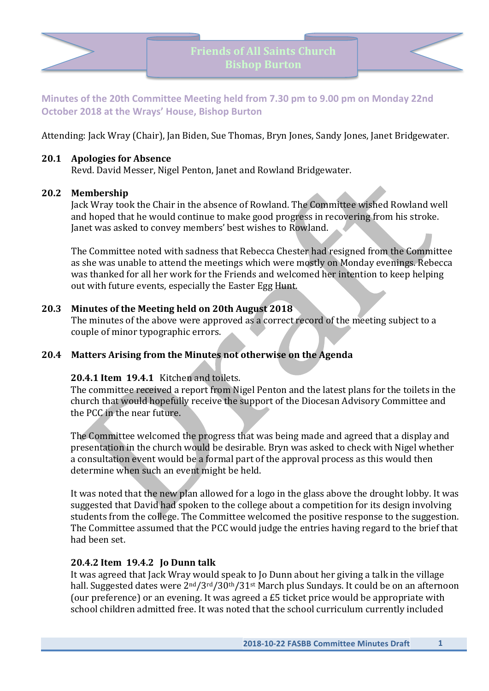



**Minutes of the 20th Committee Meeting held from 7.30 pm to 9.00 pm on Monday 22nd October 2018 at the Wrays' House, Bishop Burton** 

Attending: Jack Wray (Chair), Jan Biden, Sue Thomas, Bryn Jones, Sandy Jones, Janet Bridgewater.

#### **20.1 Apologies for Absence**

Revd. David Messer, Nigel Penton, Janet and Rowland Bridgewater.

## **20.2 Membership**

Jack Wray took the Chair in the absence of Rowland. The Committee wished Rowland well and hoped that he would continue to make good progress in recovering from his stroke. Janet was asked to convey members' best wishes to Rowland.

The Committee noted with sadness that Rebecca Chester had resigned from the Committee as she was unable to attend the meetings which were mostly on Monday evenings. Rebecca was thanked for all her work for the Friends and welcomed her intention to keep helping out with future events, especially the Easter Egg Hunt.

# **20.3 Minutes of the Meeting held on 20th August 2018**

The minutes of the above were approved as a correct record of the meeting subject to a couple of minor typographic errors.

# **20.4 Matters Arising from the Minutes not otherwise on the Agenda**

#### **20.4.1 Item 19.4.1** Kitchen and toilets.

The committee received a report from Nigel Penton and the latest plans for the toilets in the church that would hopefully receive the support of the Diocesan Advisory Committee and the PCC in the near future.

The Committee welcomed the progress that was being made and agreed that a display and presentation in the church would be desirable. Bryn was asked to check with Nigel whether a consultation event would be a formal part of the approval process as this would then determine when such an event might be held.

It was noted that the new plan allowed for a logo in the glass above the drought lobby. It was suggested that David had spoken to the college about a competition for its design involving students from the college. The Committee welcomed the positive response to the suggestion. The Committee assumed that the PCC would judge the entries having regard to the brief that had been set.

#### **20.4.2 Item 19.4.2 Jo Dunn talk**

It was agreed that Jack Wray would speak to Jo Dunn about her giving a talk in the village hall. Suggested dates were 2<sup>nd</sup>/3<sup>rd</sup>/30<sup>th</sup>/31<sup>st</sup> March plus Sundays. It could be on an afternoon (our preference) or an evening. It was agreed a  $£5$  ticket price would be appropriate with school children admitted free. It was noted that the school curriculum currently included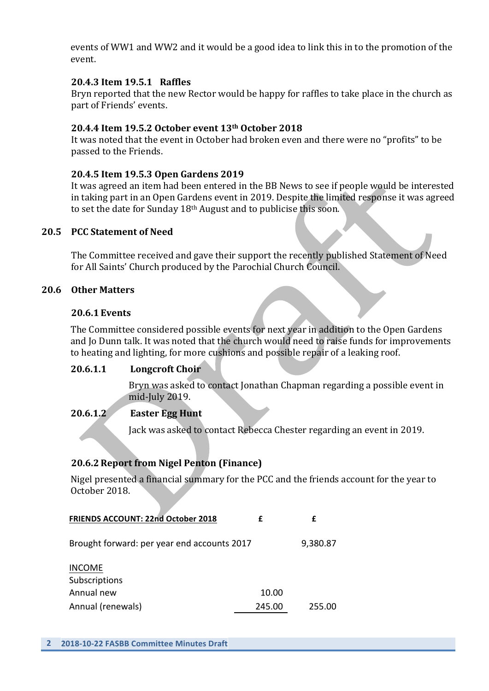events of WW1 and WW2 and it would be a good idea to link this in to the promotion of the event.

# **20.4.3 Item 19.5.1 Raffles**

Bryn reported that the new Rector would be happy for raffles to take place in the church as part of Friends' events.

# **20.4.4 Item 19.5.2 October event 13th October 2018**

It was noted that the event in October had broken even and there were no "profits" to be passed to the Friends.

## **20.4.5 Item 19.5.3 Open Gardens 2019**

It was agreed an item had been entered in the BB News to see if people would be interested in taking part in an Open Gardens event in 2019. Despite the limited response it was agreed to set the date for Sunday  $18<sup>th</sup>$  August and to publicise this soon.

## **20.5 PCC Statement of Need**

The Committee received and gave their support the recently published Statement of Need for All Saints' Church produced by the Parochial Church Council.

#### **20.6 Other Matters**

#### **20.6.1 Events**

The Committee considered possible events for next year in addition to the Open Gardens and Jo Dunn talk. It was noted that the church would need to raise funds for improvements to heating and lighting, for more cushions and possible repair of a leaking roof.

#### 20.6.1.1 **Longcroft Choir**

Bryn was asked to contact Jonathan Chapman regarding a possible event in mid-July 2019.

#### **20.6.1.2 Easter Egg Hunt**

Jack was asked to contact Rebecca Chester regarding an event in 2019.

# **20.6.2 Report from Nigel Penton (Finance)**

Nigel presented a financial summary for the PCC and the friends account for the year to October 2018.

| <b>FRIENDS ACCOUNT: 22nd October 2018</b>   |        |          |
|---------------------------------------------|--------|----------|
| Brought forward: per year end accounts 2017 |        | 9,380.87 |
| <b>INCOME</b><br>Subscriptions              |        |          |
| Annual new                                  | 10.00  |          |
| Annual (renewals)                           | 245.00 | 255.00   |